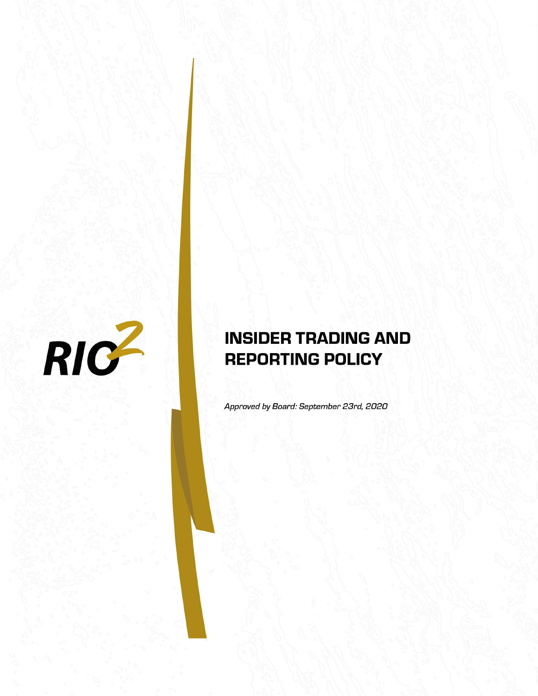

# **INSIDER TRADING AND REPORTING POLICY**

Approved by Board: September 23rd, 2020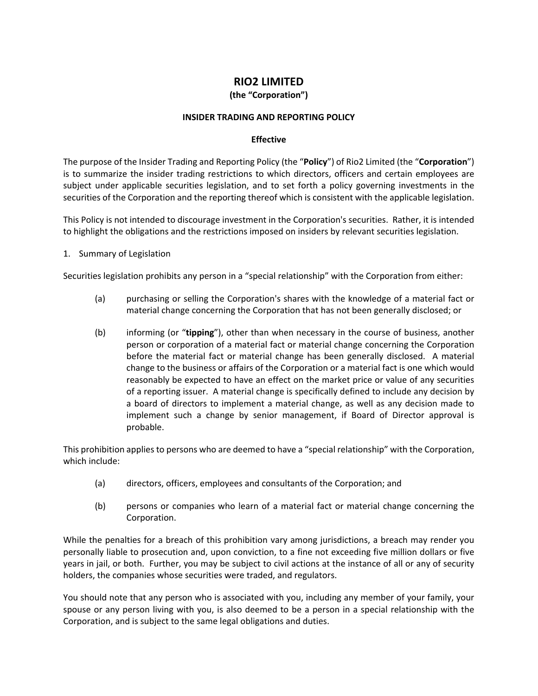# **RIO2 LIMITED**

### **(the "Corporation")**

#### **INSIDER TRADING AND REPORTING POLICY**

#### **Effective**

The purpose of the Insider Trading and Reporting Policy (the "**Policy**") of Rio2 Limited (the "**Corporation**") is to summarize the insider trading restrictions to which directors, officers and certain employees are subject under applicable securities legislation, and to set forth a policy governing investments in the securities of the Corporation and the reporting thereof which is consistent with the applicable legislation.

This Policy is not intended to discourage investment in the Corporation's securities. Rather, it is intended to highlight the obligations and the restrictions imposed on insiders by relevant securities legislation.

1. Summary of Legislation

Securities legislation prohibits any person in a "special relationship" with the Corporation from either:

- (a) purchasing or selling the Corporation's shares with the knowledge of a material fact or material change concerning the Corporation that has not been generally disclosed; or
- (b) informing (or "**tipping**"), other than when necessary in the course of business, another person or corporation of a material fact or material change concerning the Corporation before the material fact or material change has been generally disclosed. A material change to the business or affairs of the Corporation or a material fact is one which would reasonably be expected to have an effect on the market price or value of any securities of a reporting issuer. A material change is specifically defined to include any decision by a board of directors to implement a material change, as well as any decision made to implement such a change by senior management, if Board of Director approval is probable.

This prohibition applies to persons who are deemed to have a "special relationship" with the Corporation, which include:

- (a) directors, officers, employees and consultants of the Corporation; and
- (b) persons or companies who learn of a material fact or material change concerning the Corporation.

While the penalties for a breach of this prohibition vary among jurisdictions, a breach may render you personally liable to prosecution and, upon conviction, to a fine not exceeding five million dollars or five years in jail, or both. Further, you may be subject to civil actions at the instance of all or any of security holders, the companies whose securities were traded, and regulators.

You should note that any person who is associated with you, including any member of your family, your spouse or any person living with you, is also deemed to be a person in a special relationship with the Corporation, and is subject to the same legal obligations and duties.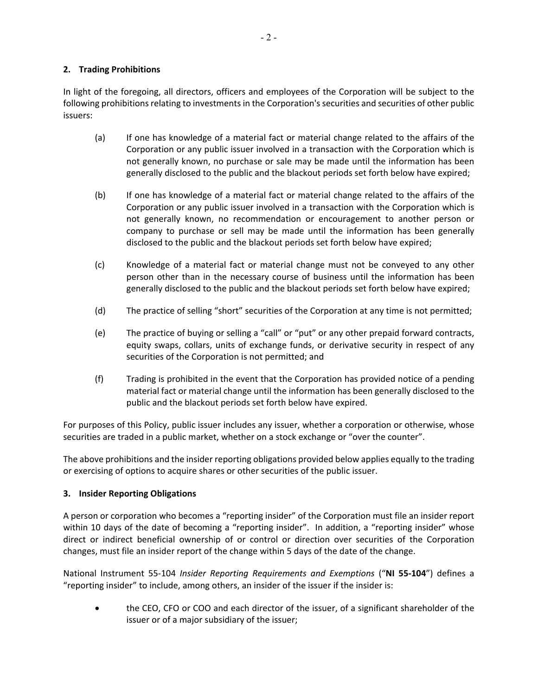# **2. Trading Prohibitions**

In light of the foregoing, all directors, officers and employees of the Corporation will be subject to the following prohibitions relating to investments in the Corporation's securities and securities of other public issuers:

- (a) If one has knowledge of a material fact or material change related to the affairs of the Corporation or any public issuer involved in a transaction with the Corporation which is not generally known, no purchase or sale may be made until the information has been generally disclosed to the public and the blackout periods set forth below have expired;
- (b) If one has knowledge of a material fact or material change related to the affairs of the Corporation or any public issuer involved in a transaction with the Corporation which is not generally known, no recommendation or encouragement to another person or company to purchase or sell may be made until the information has been generally disclosed to the public and the blackout periods set forth below have expired;
- (c) Knowledge of a material fact or material change must not be conveyed to any other person other than in the necessary course of business until the information has been generally disclosed to the public and the blackout periods set forth below have expired;
- (d) The practice of selling "short" securities of the Corporation at any time is not permitted;
- (e) The practice of buying or selling a "call" or "put" or any other prepaid forward contracts, equity swaps, collars, units of exchange funds, or derivative security in respect of any securities of the Corporation is not permitted; and
- (f) Trading is prohibited in the event that the Corporation has provided notice of a pending material fact or material change until the information has been generally disclosed to the public and the blackout periods set forth below have expired.

For purposes of this Policy, public issuer includes any issuer, whether a corporation or otherwise, whose securities are traded in a public market, whether on a stock exchange or "over the counter".

The above prohibitions and the insider reporting obligations provided below applies equally to the trading or exercising of options to acquire shares or other securities of the public issuer.

#### **3. Insider Reporting Obligations**

A person or corporation who becomes a "reporting insider" of the Corporation must file an insider report within 10 days of the date of becoming a "reporting insider". In addition, a "reporting insider" whose direct or indirect beneficial ownership of or control or direction over securities of the Corporation changes, must file an insider report of the change within 5 days of the date of the change.

National Instrument 55‐104 *Insider Reporting Requirements and Exemptions* ("**NI 55‐104**") defines a "reporting insider" to include, among others, an insider of the issuer if the insider is:

 the CEO, CFO or COO and each director of the issuer, of a significant shareholder of the issuer or of a major subsidiary of the issuer;